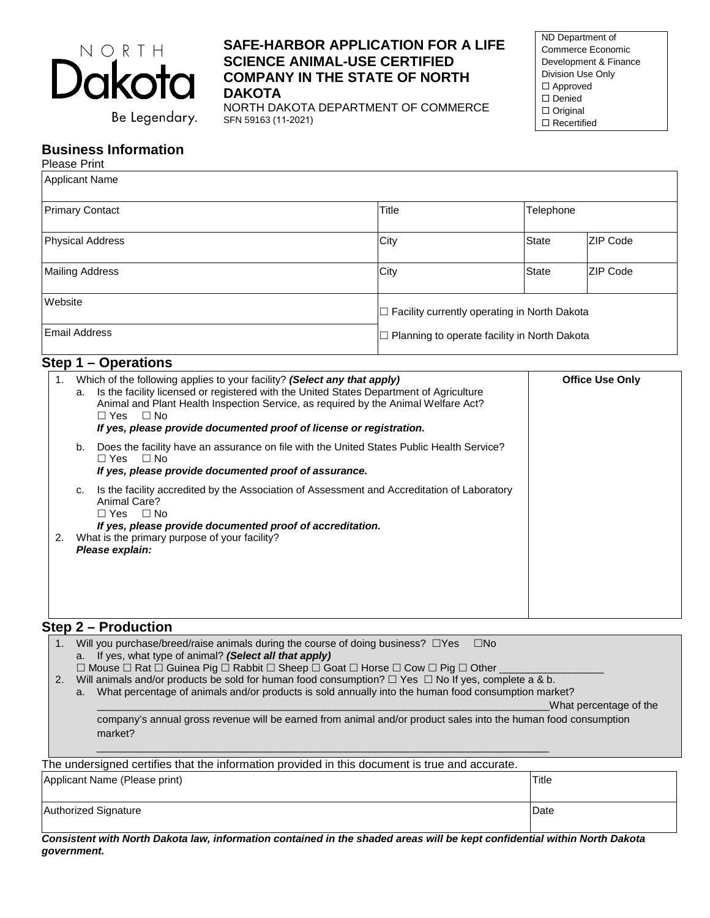

Be Legendary.

## **SAFE-HARBOR APPLICATION FOR A LIFE SCIENCE ANIMAL-USE CERTIFIED COMPANY IN THE STATE OF NORTH DAKOTA**

NORTH DAKOTA DEPARTMENT OF COMMERCE SFN 59163 (11-2021)

ND Department of Commerce Economic Development & Finance Division Use Only □ Approved □ Denied Original □ Recertified

#### **Business Information** Please Print

| Please Print                                                                                                                                                                                                                           |       |                                                     |                        |  |
|----------------------------------------------------------------------------------------------------------------------------------------------------------------------------------------------------------------------------------------|-------|-----------------------------------------------------|------------------------|--|
| <b>Applicant Name</b>                                                                                                                                                                                                                  |       |                                                     |                        |  |
| <b>Primary Contact</b>                                                                                                                                                                                                                 | Title |                                                     | Telephone              |  |
| <b>Physical Address</b>                                                                                                                                                                                                                | City  | <b>State</b>                                        | <b>ZIP Code</b>        |  |
| <b>Mailing Address</b>                                                                                                                                                                                                                 | City  | <b>State</b>                                        | <b>ZIP Code</b>        |  |
| Website                                                                                                                                                                                                                                |       | $\Box$ Facility currently operating in North Dakota |                        |  |
| <b>Email Address</b>                                                                                                                                                                                                                   |       | $\Box$ Planning to operate facility in North Dakota |                        |  |
| Step 1 – Operations                                                                                                                                                                                                                    |       |                                                     |                        |  |
| Which of the following applies to your facility? (Select any that apply)<br>1.<br>$\mathbf{a}$ and $\mathbf{b}$ and $\mathbf{c}$ and $\mathbf{c}$ and $\mathbf{c}$ and $\mathbf{c}$ and $\mathbf{c}$ and $\mathbf{c}$ and $\mathbf{c}$ |       |                                                     | <b>Office Use Only</b> |  |

| 1. | Which of the following applies to your facility? (Select any that apply)<br>Is the facility licensed or registered with the United States Department of Agriculture<br>a.<br>Animal and Plant Health Inspection Service, as required by the Animal Welfare Act?<br>$\Box$ Yes $\Box$ No<br>If yes, please provide documented proof of license or registration. | <b>Office Use Only</b> |
|----|----------------------------------------------------------------------------------------------------------------------------------------------------------------------------------------------------------------------------------------------------------------------------------------------------------------------------------------------------------------|------------------------|
|    | Does the facility have an assurance on file with the United States Public Health Service?<br>b.<br>□ Yes □ No<br>If yes, please provide documented proof of assurance.                                                                                                                                                                                         |                        |
| 2. | Is the facility accredited by the Association of Assessment and Accreditation of Laboratory<br>c.<br>Animal Care?<br>□ Yes □ No<br>If yes, please provide documented proof of accreditation.<br>What is the primary purpose of your facility?<br>Please explain:                                                                                               |                        |

# **Step 2 – Production**

| 1. Will you purchase/breed/raise animals during the course of doing business? $\Box$ Yes<br>⊟No                                  |  |  |
|----------------------------------------------------------------------------------------------------------------------------------|--|--|
| a. If yes, what type of animal? (Select all that apply)                                                                          |  |  |
| $\Box$ Mouse $\Box$ Pat $\Box$ Cuinea Pig $\Box$ Pabbit $\Box$ Sheep $\Box$ Coat $\Box$ Horse $\Box$ Cow $\Box$ Pig $\Box$ Other |  |  |

Mouse Rat Guinea Pig Rabbit Sheep Goat Horse Cow Pig Other \_\_\_\_\_\_\_\_\_\_\_\_\_\_\_\_\_\_

2. Will animals and/or products be sold for human food consumption?  $\Box$  Yes  $\Box$  No If yes, complete a & b.

\_\_\_\_\_\_\_\_\_\_\_\_\_\_\_\_\_\_\_\_\_\_\_\_\_\_\_\_\_\_\_\_\_\_\_\_\_\_\_\_\_\_\_\_\_\_\_\_\_\_\_\_\_\_\_\_\_\_\_\_\_\_\_\_\_\_\_\_\_\_\_\_\_\_\_\_\_\_

a. What percentage of animals and/or products is sold annually into the human food consumption market?

\_\_\_\_\_\_\_\_\_\_\_\_\_\_\_\_\_\_\_\_\_\_\_\_\_\_\_\_\_\_\_\_\_\_\_\_\_\_\_\_\_\_\_\_\_\_\_\_\_\_\_\_\_\_\_\_\_\_\_\_\_\_\_\_\_\_\_\_\_\_\_\_\_\_\_\_\_\_What percentage of the

company's annual gross revenue will be earned from animal and/or product sales into the human food consumption market?

The undersigned certifies that the information provided in this document is true and accurate.

| Applicant Name (Please print) | Title |  |
|-------------------------------|-------|--|
| Authorized Signature          | Date  |  |

*Consistent with North Dakota law, information contained in the shaded areas will be kept confidential within North Dakota government.*